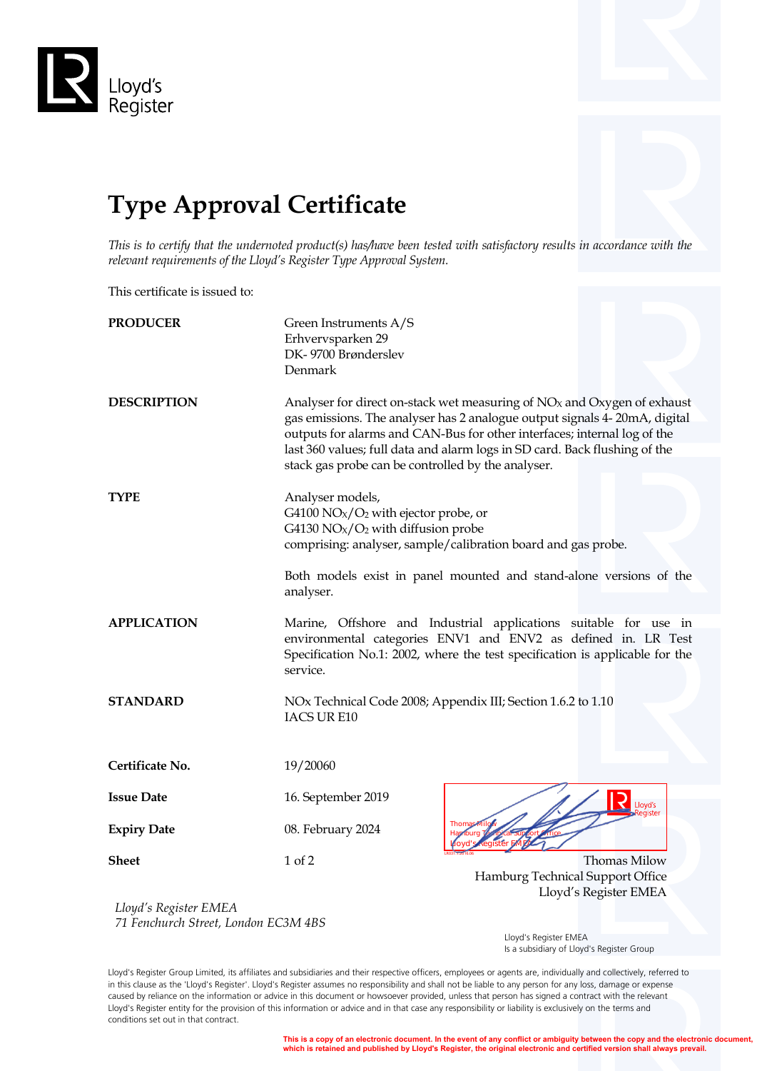

## **Type Approval Certificate**

*This is to certify that the undernoted product(s) has/have been tested with satisfactory results in accordance with the relevant requirements of the Lloyd's Register Type Approval System.*

This certificate is issued to:

| Green Instruments A/S<br>Erhvervsparken 29                                                                                                                                                                                                                                                                                                                             |                                                                           |  |  |
|------------------------------------------------------------------------------------------------------------------------------------------------------------------------------------------------------------------------------------------------------------------------------------------------------------------------------------------------------------------------|---------------------------------------------------------------------------|--|--|
| Denmark                                                                                                                                                                                                                                                                                                                                                                |                                                                           |  |  |
| Analyser for direct on-stack wet measuring of $NOx$ and Oxygen of exhaust<br>gas emissions. The analyser has 2 analogue output signals 4-20mA, digital<br>outputs for alarms and CAN-Bus for other interfaces; internal log of the<br>last 360 values; full data and alarm logs in SD card. Back flushing of the<br>stack gas probe can be controlled by the analyser. |                                                                           |  |  |
| Analyser models,<br>G4100 $NOX/O2$ with ejector probe, or<br>G4130 $NOX/O2$ with diffusion probe<br>comprising: analyser, sample/calibration board and gas probe.                                                                                                                                                                                                      |                                                                           |  |  |
| Both models exist in panel mounted and stand-alone versions of the<br>analyser.                                                                                                                                                                                                                                                                                        |                                                                           |  |  |
| Marine, Offshore and Industrial applications suitable for use in<br>environmental categories ENV1 and ENV2 as defined in. LR Test<br>Specification No.1: 2002, where the test specification is applicable for the<br>service.                                                                                                                                          |                                                                           |  |  |
| NOx Technical Code 2008; Appendix III; Section 1.6.2 to 1.10<br>IACS UR E10                                                                                                                                                                                                                                                                                            |                                                                           |  |  |
| 19/20060                                                                                                                                                                                                                                                                                                                                                               |                                                                           |  |  |
| 16. September 2019                                                                                                                                                                                                                                                                                                                                                     | <b>P</b> Lloyd's                                                          |  |  |
| 08. February 2024                                                                                                                                                                                                                                                                                                                                                      |                                                                           |  |  |
| 1 of 2                                                                                                                                                                                                                                                                                                                                                                 | Thomas Milow<br>Hamburg Technical Support Office<br>Lloyd's Register EMEA |  |  |
|                                                                                                                                                                                                                                                                                                                                                                        | DK-9700 Brønderslev                                                       |  |  |

*Lloyd's Register EMEA 71 Fenchurch Street, London EC3M 4BS*

 Lloyd's Register EMEA Is a subsidiary of Lloyd's Register Group

Lloyd's Register Group Limited, its affiliates and subsidiaries and their respective officers, employees or agents are, individually and collectively, referred to in this clause as the 'Lloyd's Register'. Lloyd's Register assumes no responsibility and shall not be liable to any person for any loss, damage or expense caused by reliance on the information or advice in this document or howsoever provided, unless that person has signed a contract with the relevant Lloyd's Register entity for the provision of this information or advice and in that case any responsibility or liability is exclusively on the terms and conditions set out in that contract.